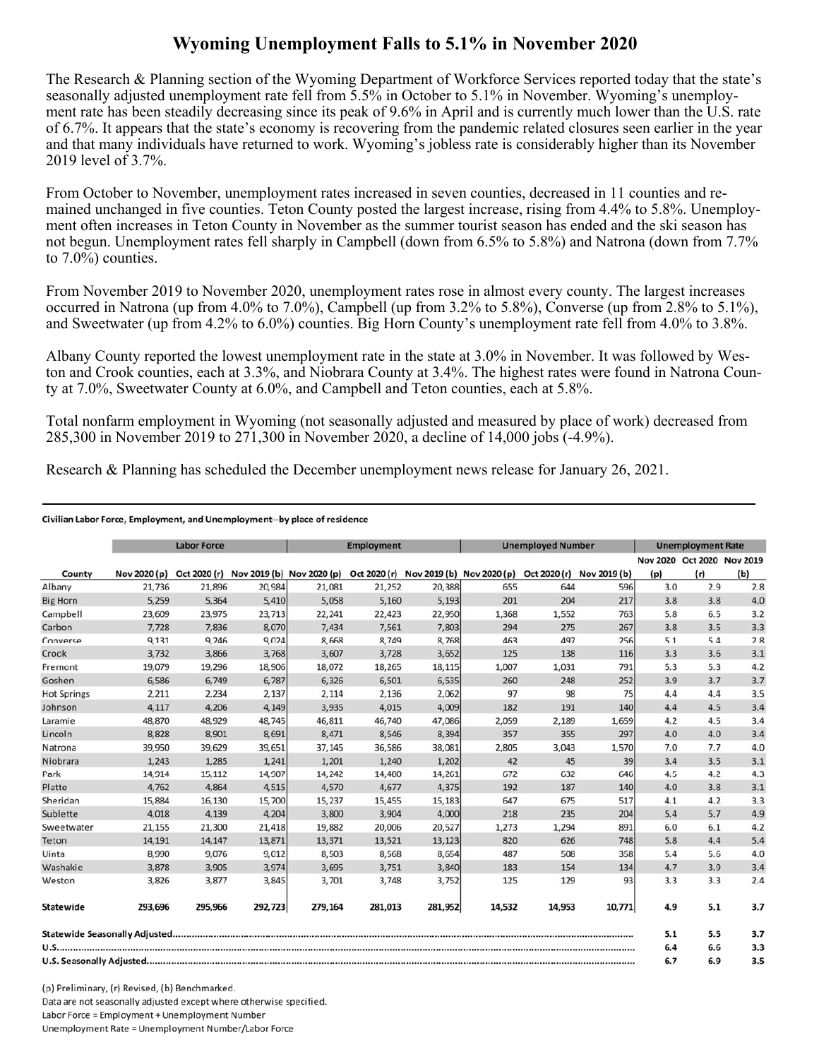## **Wyoming Unemployment Falls to 5.1% in November 2020**

The Research & Planning section of the Wyoming Department of Workforce Services reported today that the state's seasonally adjusted unemployment rate fell from 5.5% in October to 5.1% in November. Wyoming's unemployment rate has been steadily decreasing since its peak of 9.6% in April and is currently much lower than the U.S. rate of 6.7%. It appears that the state's economy is recovering from the pandemic related closures seen earlier in the year and that many individuals have returned to work. Wyoming's jobless rate is considerably higher than its November 2019 level of 3.7%.

From October to November, unemployment rates increased in seven counties, decreased in 11 counties and remained unchanged in five counties. Teton County posted the largest increase, rising from 4.4% to 5.8%. Unemployment often increases in Teton County in November as the summer tourist season has ended and the ski season has not begun. Unemployment rates fell sharply in Campbell (down from 6.5% to 5.8%) and Natrona (down from 7.7% to 7.0%) counties.

From November 2019 to November 2020, unemployment rates rose in almost every county. The largest increases occurred in Natrona (up from 4.0% to 7.0%), Campbell (up from 3.2% to 5.8%), Converse (up from 2.8% to 5.1%), and Sweetwater (up from 4.2% to 6.0%) counties. Big Horn County's unemployment rate fell from 4.0% to 3.8%.

Albany County reported the lowest unemployment rate in the state at 3.0% in November. It was followed by Weston and Crook counties, each at 3.3%, and Niobrara County at 3.4%. The highest rates were found in Natrona County at 7.0%, Sweetwater County at 6.0%, and Campbell and Teton counties, each at 5.8%.

Total nonfarm employment in Wyoming (not seasonally adjusted and measured by place of work) decreased from 285,300 in November 2019 to 271,300 in November 2020, a decline of 14,000 jobs (-4.9%).

Research & Planning has scheduled the December unemployment news release for January 26, 2021.

## Civilian Labor Force, Employment, and Unemployment--by place of residence

|                    |              | <b>Labor Force</b> |         |                                        | <b>Employment</b> |         |                                        | <b>Unemployed Number</b> |                           |     | <b>Unemployment Rate</b>          |     |
|--------------------|--------------|--------------------|---------|----------------------------------------|-------------------|---------|----------------------------------------|--------------------------|---------------------------|-----|-----------------------------------|-----|
| County             | Nov 2020 (p) |                    |         | Oct 2020 (r) Nov 2019 (b) Nov 2020 (p) |                   |         | Oct 2020 (r) Nov 2019 (b) Nov 2020 (p) |                          | Oct 2020 (r) Nov 2019 (b) | (p) | Nov 2020 Oct 2020 Nov 2019<br>(r) | (b) |
| Albany             | 21,736       | 21,896             | 20,984  | 21,081                                 | 21,252            | 20,388  | 655                                    | 644                      | 596                       | 3.0 | 2.9                               | 2.8 |
| <b>Big Horn</b>    | 5,259        | 5,364              | 5,410   | 5,058                                  | 5,160             | 5,193   | 201                                    | 204                      | 217                       | 3.8 | 3.8                               | 4.0 |
| Campbell           | 23,609       | 23,975             | 23,713  | 22,241                                 | 22,423            | 22,950  | 1,368                                  | 1,552                    | 763                       | 5.8 | 6.5                               | 3.2 |
| Carbon             | 7,728        | 7,836              | 8,070   | 7,434                                  | 7,561             | 7,803   | 294                                    | 275                      | 267                       | 3.8 | 3.5                               | 3.3 |
| Converse           | 9,131        | 9,246              | 9,024   | 8,668                                  | 8,749             | 8,768   | 463                                    | 497                      | 256                       | 5.1 | 5.4                               | 2.8 |
| Crook              | 3,732        | 3,866              | 3,768   | 3,607                                  | 3,728             | 3,652   | 125                                    | 138                      | 116                       | 3.3 | 3.6                               | 3.1 |
| Fremont            | 19,079       | 19,296             | 18,906  | 18,072                                 | 18,265            | 18,115  | 1,007                                  | 1,031                    | 791                       | 5.3 | 5.3                               | 4.2 |
| Goshen             | 6,586        | 6,749              | 6,787   | 6,326                                  | 6,501             | 6,535   | 260                                    | 248                      | 252                       | 3.9 | 3.7                               | 3.7 |
| <b>Hot Springs</b> | 2,211        | 2,234              | 2,137   | 2,114                                  | 2,136             | 2,062   | 97                                     | 98                       | 75                        | 4.4 | 4.4                               | 3.5 |
| Johnson            | 4,117        | 4,206              | 4,149   | 3,935                                  | 4,015             | 4,009   | 182                                    | 191                      | 140                       | 4.4 | 4.5                               | 3.4 |
| Laramie            | 48,870       | 48,929             | 48.745  | 46,811                                 | 46,740            | 47,086  | 2,059                                  | 2,189                    | 1,659                     | 4.2 | 4.5                               | 3.4 |
| Lincoln            | 8,828        | 8,901              | 8,691   | 8,471                                  | 8,546             | 8,394   | 357                                    | 355                      | 297                       | 4.0 | 4.0                               | 3.4 |
| Natrona            | 39,950       | 39,629             | 39,651  | 37,145                                 | 36,586            | 38,081  | 2,805                                  | 3,043                    | 1,570                     | 7.0 | 7.7                               | 4.0 |
| Niobrara           | 1,243        | 1,285              | 1,241   | 1,201                                  | 1,240             | 1,202   | 42                                     | 45                       | 39                        | 3.4 | 3.5                               | 3.1 |
| Park               | 14,914       | 15,112             | 14,907  | 14,242                                 | 14,480            | 14,261  | 672                                    | 632                      | 646                       | 4.5 | 4.2                               | 4.3 |
| Platte             | 4,762        | 4,864              | 4,515   | 4,570                                  | 4,677             | 4,375   | 192                                    | 187                      | 140                       | 4.0 | 3.8                               | 3.1 |
| Sheridan           | 15,884       | 16,130             | 15,700  | 15,237                                 | 15,455            | 15,183  | 647                                    | 675                      | 517                       | 4.1 | 4.2                               | 3.3 |
| Sublette           | 4.018        | 4,139              | 4.204   | 3,800                                  | 3.904             | 4,000   | 218                                    | 235                      | 204                       | 5.4 | 5.7                               | 4.9 |
| Sweetwater         | 21,155       | 21,300             | 21,418  | 19,882                                 | 20,006            | 20,527  | 1,273                                  | 1,294                    | 891                       | 6.0 | 6.1                               | 4.2 |
| Teton              | 14,191       | 14,147             | 13,871  | 13,371                                 | 13,521            | 13,123  | 820                                    | 626                      | 748                       | 5.8 | 4.4                               | 5.4 |
| Uinta              | 8,990        | 9,076              | 9,012   | 8,503                                  | 8,568             | 8,654   | 487                                    | 508                      | 358                       | 5.4 | 5.6                               | 4.0 |
| Washakie           | 3.878        | 3,905              | 3.974   | 3.695                                  | 3.751             | 3,840   | 183                                    | 154                      | 134                       | 4.7 | 3.9                               | 3.4 |
| Weston             | 3,826        | 3,877              | 3,845   | 3,701                                  | 3,748             | 3,752   | 125                                    | 129                      | 93                        | 3.3 | 3.3                               | 2.4 |
| Statewide          | 293,696      | 295,966            | 292,723 | 279,164                                | 281,013           | 281,952 | 14,532                                 | 14,953                   | 10,771                    | 4.9 | 5.1                               | 3.7 |
|                    |              |                    |         |                                        |                   |         |                                        |                          |                           | 5.1 | 5.5                               | 3.7 |
|                    |              |                    |         |                                        |                   |         |                                        | 6.4                      | 6.6                       | 3.3 |                                   |     |
|                    |              |                    |         |                                        |                   |         | 6.7                                    | 6.9                      | 3.5                       |     |                                   |     |

(p) Preliminary, (r) Revised, (b) Benchmarked. Data are not seasonally adjusted except where otherwise specified. Labor Force = Employment + Unemployment Number Unemployment Rate = Unemployment Number/Labor Force